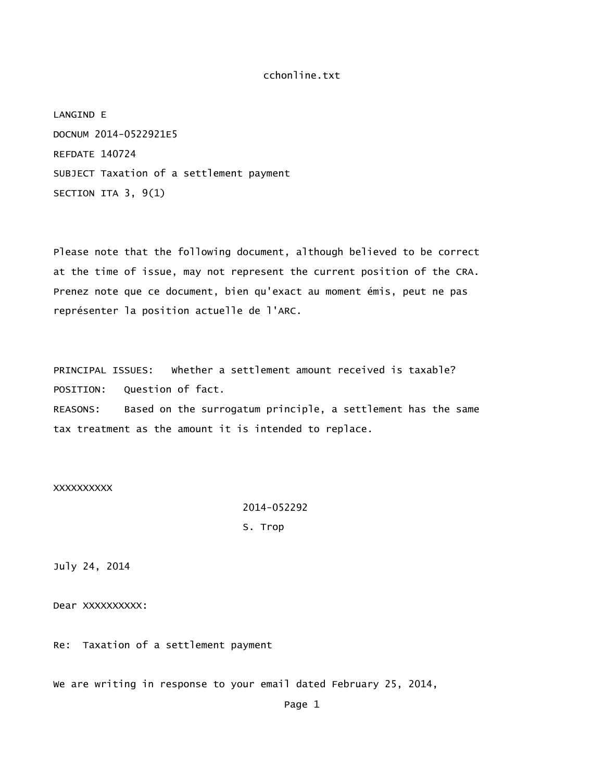LANGIND E DOCNUM 2014-0522921E5 REFDATE 140724 SUBJECT Taxation of a settlement payment SECTION ITA 3, 9(1)

Please note that the following document, although believed to be correct at the time of issue, may not represent the current position of the CRA. Prenez note que ce document, bien qu'exact au moment émis, peut ne pas représenter la position actuelle de l'ARC.

PRINCIPAL ISSUES: Whether a settlement amount received is taxable? POSITION: Question of fact. REASONS: Based on the surrogatum principle, a settlement has the same tax treatment as the amount it is intended to replace.

### XXXXXXXXXX

 2014-052292 S. Trop

July 24, 2014

Dear XXXXXXXXX:

Re: Taxation of a settlement payment

We are writing in response to your email dated February 25, 2014,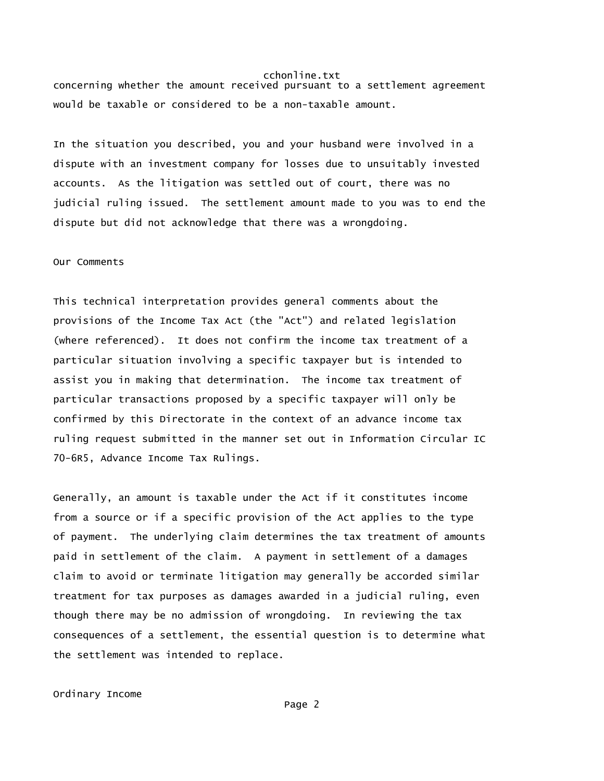concerning whether the amount received pursuant to a settlement agreement would be taxable or considered to be a non-taxable amount.

In the situation you described, you and your husband were involved in a dispute with an investment company for losses due to unsuitably invested accounts. As the litigation was settled out of court, there was no judicial ruling issued. The settlement amount made to you was to end the dispute but did not acknowledge that there was a wrongdoing.

### Our Comments

This technical interpretation provides general comments about the provisions of the Income Tax Act (the "Act") and related legislation (where referenced). It does not confirm the income tax treatment of a particular situation involving a specific taxpayer but is intended to assist you in making that determination. The income tax treatment of particular transactions proposed by a specific taxpayer will only be confirmed by this Directorate in the context of an advance income tax ruling request submitted in the manner set out in Information Circular IC 70-6R5, Advance Income Tax Rulings.

Generally, an amount is taxable under the Act if it constitutes income from a source or if a specific provision of the Act applies to the type of payment. The underlying claim determines the tax treatment of amounts paid in settlement of the claim. A payment in settlement of a damages claim to avoid or terminate litigation may generally be accorded similar treatment for tax purposes as damages awarded in a judicial ruling, even though there may be no admission of wrongdoing. In reviewing the tax consequences of a settlement, the essential question is to determine what the settlement was intended to replace.

Ordinary Income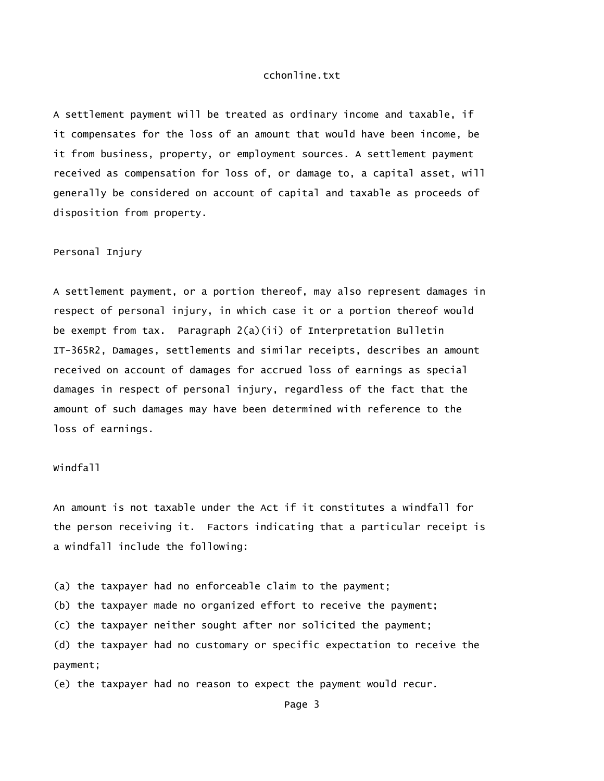A settlement payment will be treated as ordinary income and taxable, if it compensates for the loss of an amount that would have been income, be it from business, property, or employment sources. A settlement payment received as compensation for loss of, or damage to, a capital asset, will generally be considered on account of capital and taxable as proceeds of disposition from property.

#### Personal Injury

A settlement payment, or a portion thereof, may also represent damages in respect of personal injury, in which case it or a portion thereof would be exempt from tax. Paragraph 2(a)(ii) of Interpretation Bulletin IT-365R2, Damages, settlements and similar receipts, describes an amount received on account of damages for accrued loss of earnings as special damages in respect of personal injury, regardless of the fact that the amount of such damages may have been determined with reference to the loss of earnings.

# Windfall

An amount is not taxable under the Act if it constitutes a windfall for the person receiving it. Factors indicating that a particular receipt is a windfall include the following:

(a) the taxpayer had no enforceable claim to the payment;

(b) the taxpayer made no organized effort to receive the payment;

(c) the taxpayer neither sought after nor solicited the payment;

(d) the taxpayer had no customary or specific expectation to receive the payment;

(e) the taxpayer had no reason to expect the payment would recur.